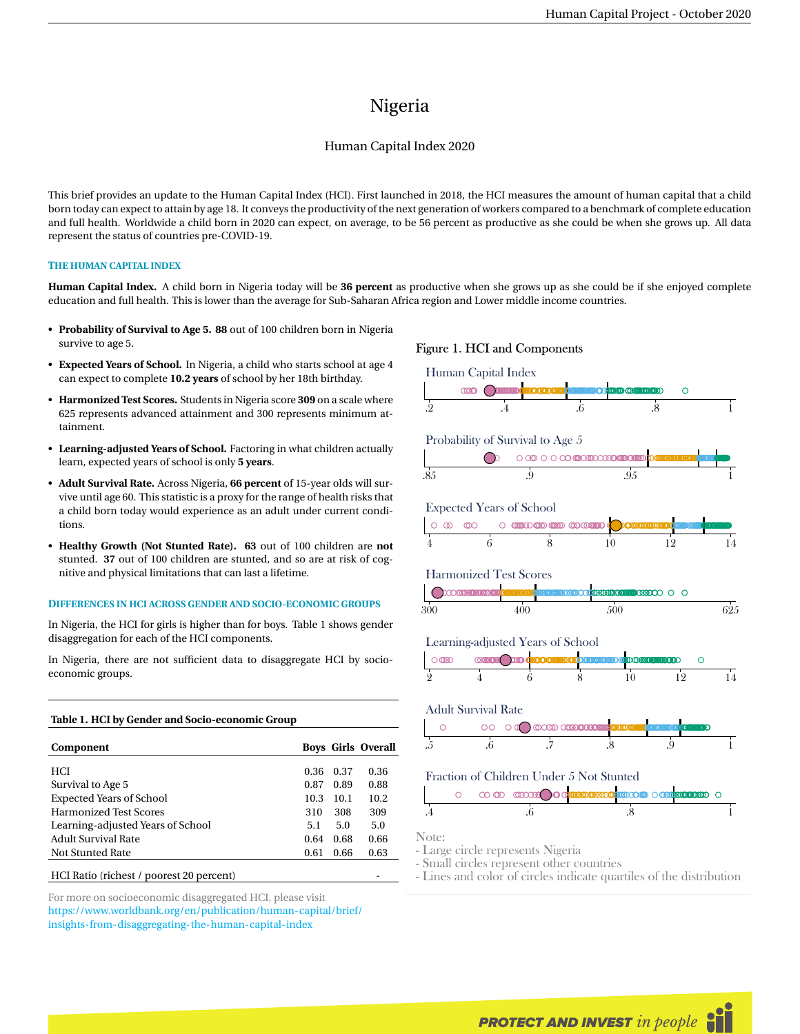# Nigeria

## Human Capital Index 2020

This brief provides an update to the Human Capital Index (HCI). First launched in 2018, the HCI measures the amount of human capital that a child born today can expect to attain by age 18. It conveys the productivity of the next generation of workers compared to a benchmark of complete education and full health. Worldwide a child born in 2020 can expect, on average, to be 56 percent as productive as she could be when she grows up. All data represent the status of countries pre-COVID-19.

## **THE HUMAN CAPITAL INDEX**

**Human Capital Index.** A child born in Nigeria today will be **36 percent** as productive when she grows up as she could be if she enjoyed complete education and full health. This is lower than the average for Sub-Saharan Africa region and Lower middle income countries.

- **Probability of Survival to Age 5. 88** out of 100 children born in Nigeria survive to age 5.
- **Expected Years of School.** In Nigeria, a child who starts school at age 4 can expect to complete **10.2 years** of school by her 18th birthday.
- **Harmonized Test Scores.** Students in Nigeria score **309** on a scale where 625 represents advanced attainment and 300 represents minimum attainment.
- **Learning-adjusted Years of School.** Factoring in what children actually learn, expected years of school is only **5 years**.
- **Adult Survival Rate.** Across Nigeria, **66 percent** of 15-year olds will survive until age 60. This statistic is a proxy for the range of health risks that a child born today would experience as an adult under current conditions.
- **Healthy Growth (Not Stunted Rate). 63** out of 100 children are **not** stunted. **37** out of 100 children are stunted, and so are at risk of cognitive and physical limitations that can last a lifetime.

#### **DIFFERENCES IN HCI ACROSS GENDER AND SOCIO-ECONOMIC GROUPS**

In Nigeria, the HCI for girls is higher than for boys. Table 1 shows gender disaggregation for each of the HCI components.

In Nigeria, there are not sufficient data to disaggregate HCI by socioeconomic groups.

#### **Table 1. HCI by Gender and Socio-economic Group**

| Component                         |      |      | <b>Boys Girls Overall</b> |
|-----------------------------------|------|------|---------------------------|
|                                   |      |      |                           |
| <b>HCI</b>                        | 0.36 | 0.37 | 0.36                      |
| Survival to Age 5                 | 0.87 | 0.89 | 0.88                      |
| <b>Expected Years of School</b>   | 10.3 | 10.1 | 10.2                      |
| <b>Harmonized Test Scores</b>     | 310  | 308  | 309                       |
| Learning-adjusted Years of School | 5.1  | 5.0  | 5.0                       |
| Adult Survival Rate               | 0.64 | 0.68 | 0.66                      |
| Not Stunted Rate                  | 0.61 | 0.66 | 0.63                      |
| _____                             |      |      |                           |

HCI Ratio (richest / poorest 20 percent)

For more on socioeconomic disaggregated HCI, please visit [https://www.worldbank.org/en/publication/human-capital/brief/](https://www.worldbank.org/en/publication/human-capital/brief/insights-from-disaggregating-the-human-capital-index) [insights-from-disaggregating-the-human-capital-index](https://www.worldbank.org/en/publication/human-capital/brief/insights-from-disaggregating-the-human-capital-index)

## Figure 1. HCI and Components



- Small circles represent other countries

- Lines and color of circles indicate quartiles of the distribution